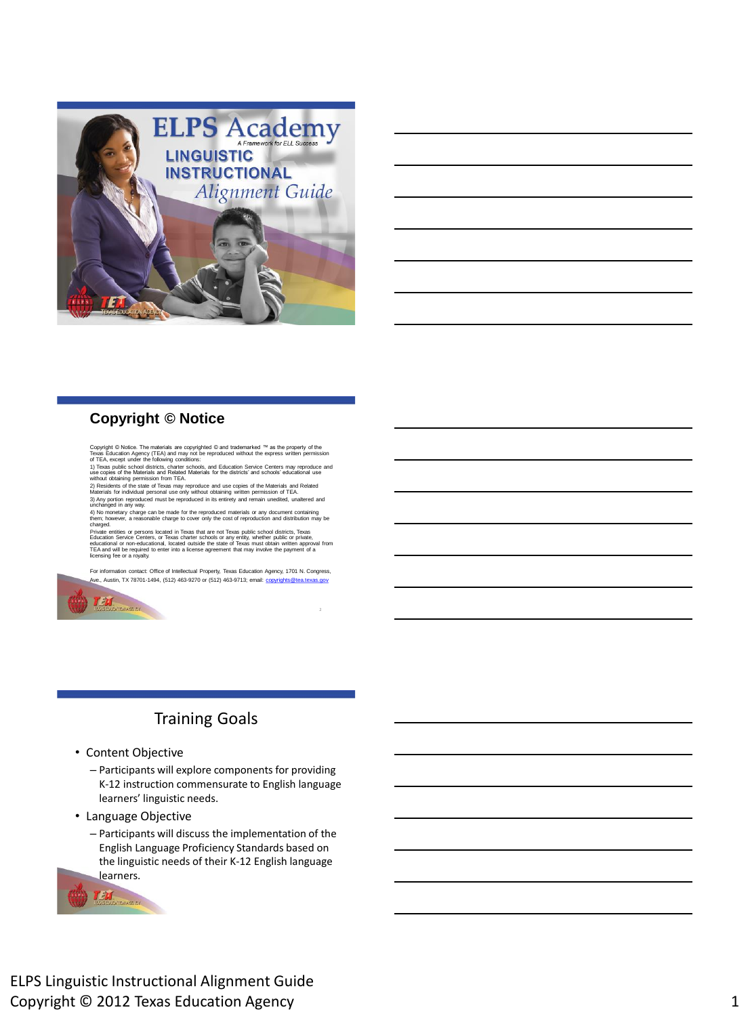

| <u> 1989 - Johann Stoff, deutscher Stoffen und der Stoffen und der Stoffen und der Stoffen und der Stoffen und de</u>  |  |  |
|------------------------------------------------------------------------------------------------------------------------|--|--|
|                                                                                                                        |  |  |
|                                                                                                                        |  |  |
|                                                                                                                        |  |  |
|                                                                                                                        |  |  |
| <u> 1989 - Johann Stoff, deutscher Stoffen und der Stoffen und der Stoffen und der Stoffen und der Stoffen und der</u> |  |  |
| <u> 1989 - Johann Stoff, deutscher Stoff, der Stoff, der Stoff, der Stoff, der Stoff, der Stoff, der Stoff, der S</u>  |  |  |

#### **Copyright © Notice**

Copyright © Notice. The materials are copyrighted © and trademarked ™ as the property of the<br>Texas Education Agency (TEA) and may not be reproduced without the express written permission<br>of TEA, except under the following

without obtaining permission from TEA.

2) Residents of the state of Texas may reproduce and use copies of the Materials and Related Materials for individual personal use only without obtaining written permission of TEA. 3) Any portion reproduced must be reproduced in its entirety and remain unedited, unaltered and unchanged in any way.

4) No monetary charge can be made for the reproduced materials or any document containing<br>them; however, a reasonable charge to cover only the cost of reproduction and distribution may be<br>charged.<br>Frivate entities or perso

For information contact: Office of Intellectual Property, Texas Education Agency, 1701 N. Congress,<br><u>A</u>ve., Austin, TX 78701-1494, (512) 463-9270 or (512) 463-9713; email: <u>[copyrights@tea.texas.gov](mailto:copyrights@tea.texas.gov)</u>



# Training Goals

- Content Objective
	- Participants will explore components for providing K-12 instruction commensurate to English language learners' linguistic needs.
- Language Objective
	- Participants will discuss the implementation of the English Language Proficiency Standards based on the linguistic needs of their K-12 English language learners.

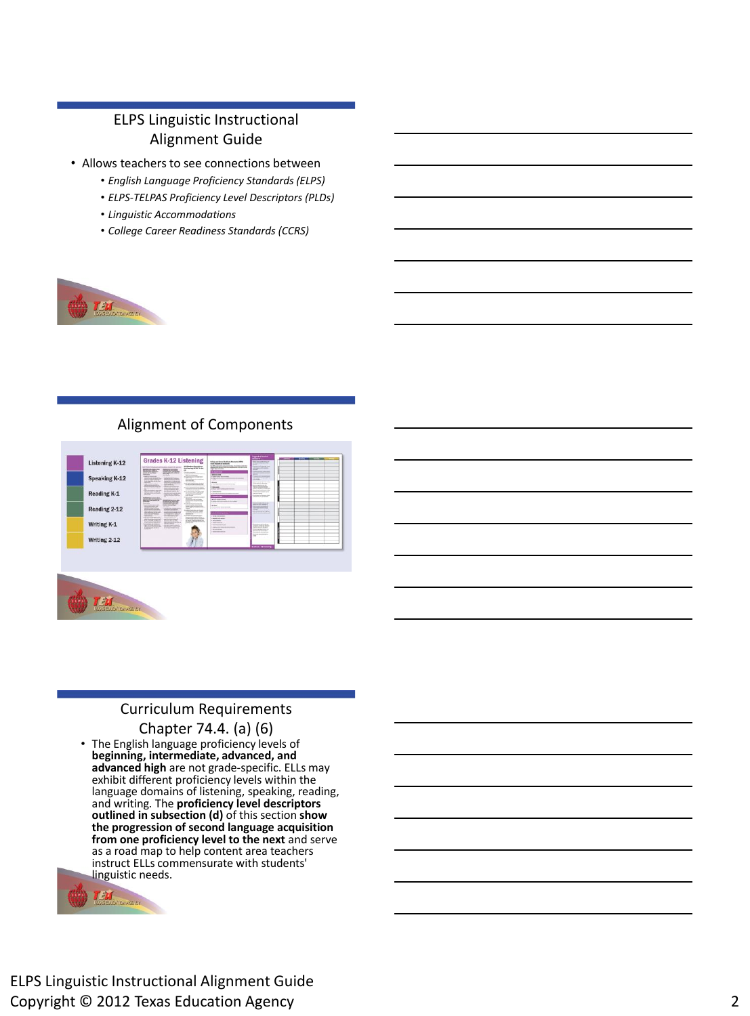## ELPS Linguistic Instructional Alignment Guide

- Allows teachers to see connections between
	- *English Language Proficiency Standards (ELPS)*
	- *ELPS-TELPAS Proficiency Level Descriptors (PLDs)*
	- *Linguistic Accommodations*
	- *College Career Readiness Standards (CCRS)*



#### Alignment of Components



#### Curriculum Requirements

#### Chapter 74.4. (a) (6)

• The English language proficiency levels of **beginning, intermediate, advanced, and advanced high** are not grade-specific. ELLs may exhibit different proficiency levels within the language domains of listening, speaking, reading, and writing*.* The **proficiency level descriptors outlined in subsection (d)** of this section **show the progression of second language acquisition from one proficiency level to the next** and serve as a road map to help content area teachers instruct ELLs commensurate with students' linguistic needs.

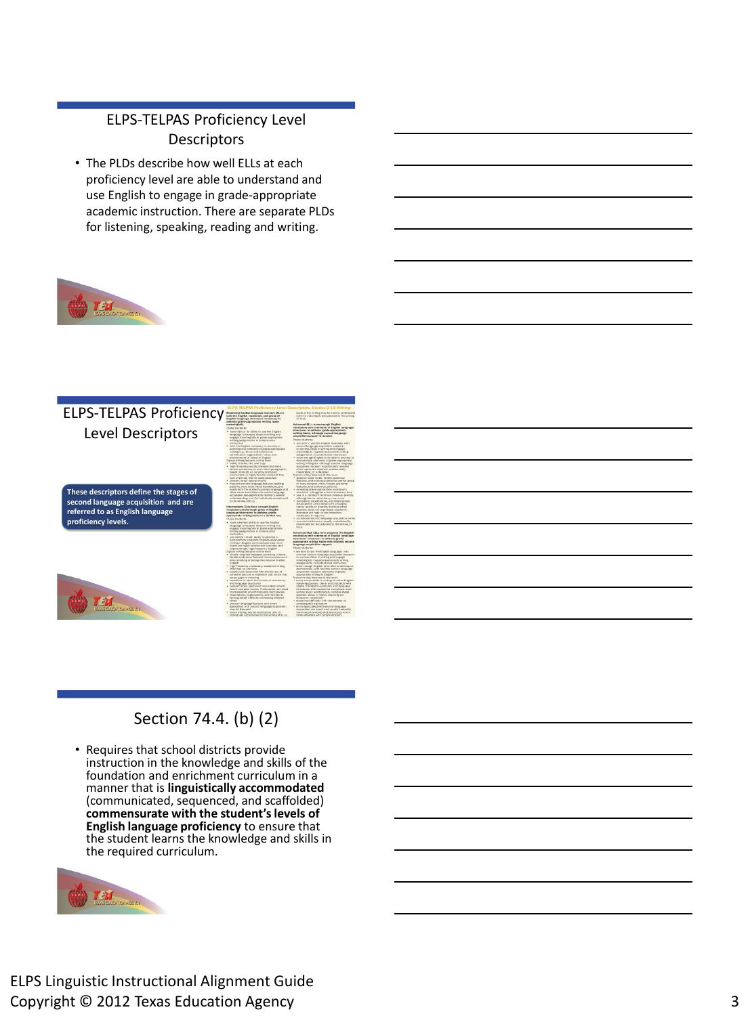## ELPS-TELPAS Proficiency Level **Descriptors**

• The PLDs describe how well ELLs at each proficiency level are able to understand and use English to engage in grade-appropriate academic instruction. There are separate PLDs for listening, speaking, reading and writing.



### ELPS-TELPAS Proficiency Level Descriptors

**These descriptors define the stages of second language acquisition and are referred to as English language proficiency levels.**





# Section 74.4. (b) (2)

• Requires that school districts provide instruction in the knowledge and skills of the foundation and enrichment curriculum in a manner that is **linguistically accommodated**  (communicated, sequenced, and scaffolded) **commensurate with the student's levels of English language proficiency** to ensure that the student learns the knowledge and skills in the required curriculum.

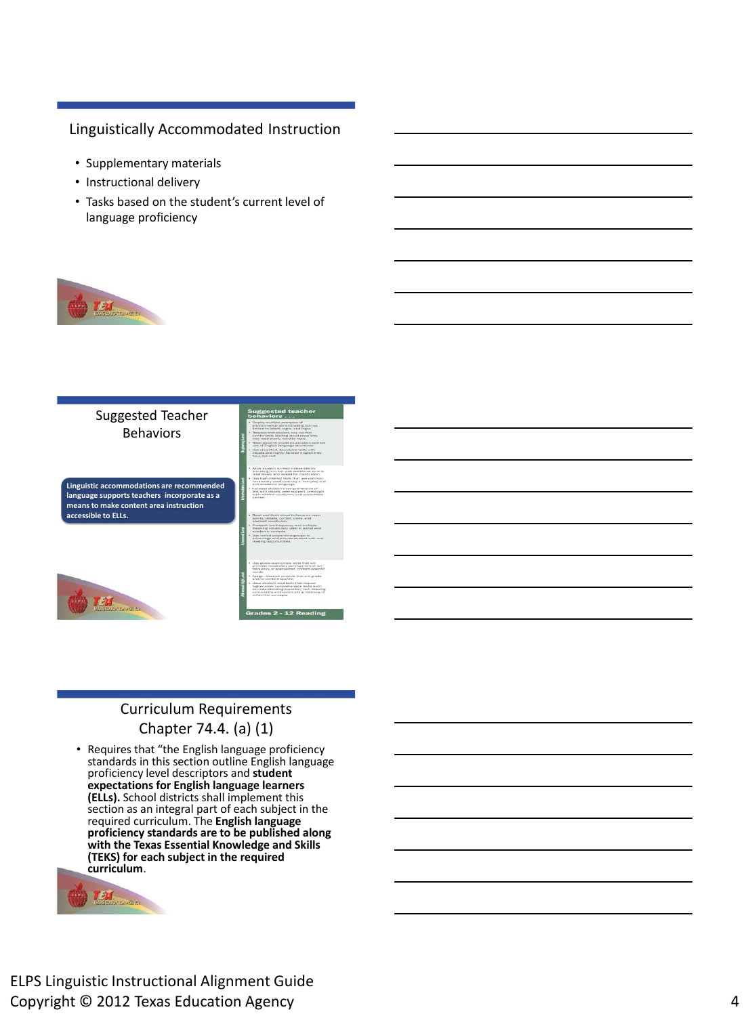#### Linguistically Accommodated Instruction

- Supplementary materials
- Instructional delivery
- Tasks based on the student's current level of language proficiency



#### Suggested Teacher Behaviors

**Linguistic accommodations are recommended language supports teachers incorporate as a means to make content area instruction accessible to ELLs.** 



ed to focus on tionary<br>frequency and multiple-<br>studery used in social and<br>staxts. perative groups to:<br>I provide atudent with or

ie-appropriate texts that will<br>vocabulary development of low-<br>v nr ammialized, content ammific r specialized: content-spec<br>arch projects that are grad<br>ent specific. it require<br>n skills such<br>v fext, dressi

## Curriculum Requirements Chapter 74.4. (a) (1)

• Requires that "the English language proficiency standards in this section outline English language proficiency level descriptors and **student expectations for English language learners (ELLs).** School districts shall implement this section as an integral part of each subject in the required curriculum. The **English language proficiency standards are to be published along with the Texas Essential Knowledge and Skills (TEKS) for each subject in the required curriculum**.

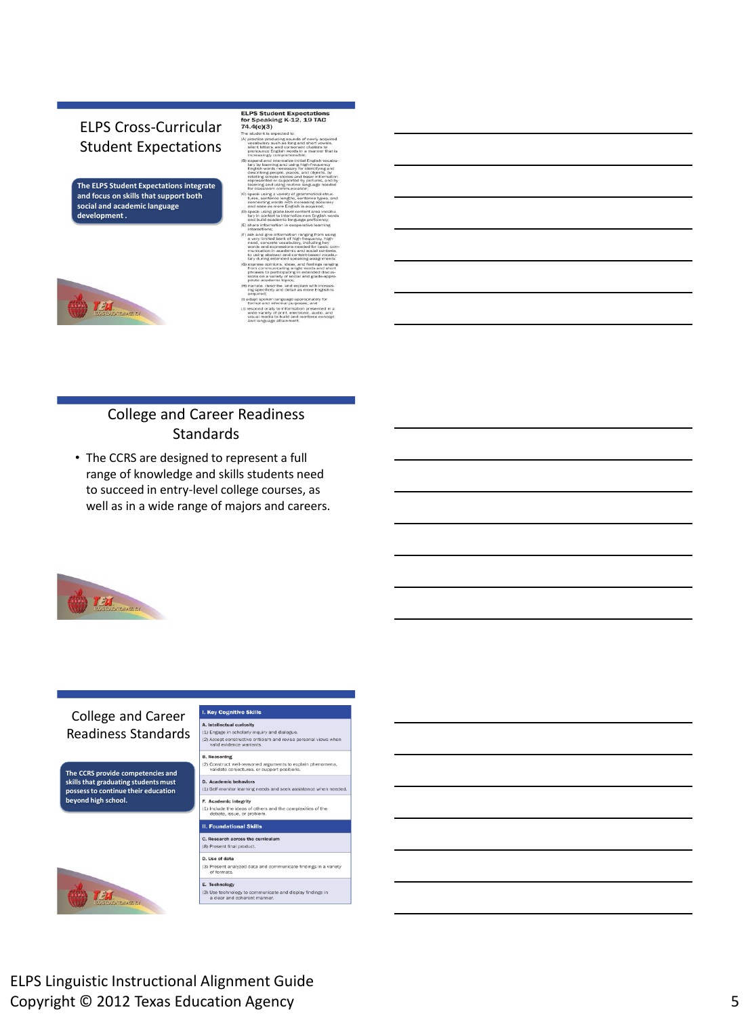## ELPS Cross-Curricular Student Expectations

**The ELPS Student Expectations integrate and focus on skills that support both social and academic language development .**



- ELPS Student Expectations<br>for Speaking K-12, 19 TAC<br>74.4(c)(3)
- tudent is expected to:<br>actice producing sounds<br>cabulary such as long a<br>ont letters, and consona<br>onounce English words<br>greasingly comprehensit short vowels,<br>clusters to<br>manner that is nd consonant<br>lish words in a<br>moreheonible:
- inconsiste to promote the internal of the internal and internal and internal internal internal internal internal internal internal internal internal internal internal of the distribution of the distribution of the constant
- for classicoon communication;<br>apparent communication;<br>turns, sentence lengths, sentence types<br>connecting words with increasing acconnecting words with increasing ac<br>and ease as more English is acquired and ease as more for ative lear
- interactions, and give information ranging from<br>the very limited bank of high-frequency<br>and, concrete vocabulary, including<br>vords and expressions needed for be<br>vords and expressions needed for be<br>to using abstract and cont press opinions, ideas, and<br>am communicating single w<br>rrases to participating in ex<br>ans on a variety of social an<br>iate academic topics:
- priate academic topics.<br>
narrate, describe, and explain with increasing<br>
specificity and detail as more English is<br>
acquired;
- lapt spoken language appropriately for<br>ormal and informal purposes; and illy to information presented in<br>y of print, electronic, audio, and<br>ia to build and reinforce concep<br>as attainment.

#### College and Career Readiness **Standards**

• The CCRS are designed to represent a full range of knowledge and skills students need to succeed in entry-level college courses, as well as in a wide range of majors and careers.



#### **I. Key Cognitive Skills** College and Career A. Intellectual curlosity<br>(1) Engage in scholarly inquiry and dialogue.<br>(2) Accept constructive criticism and revise pen<br>valid evidence warrants. Readiness Standards **B. Reasoning The CCRS provide competencies and skills that graduating students must D.** Academic behaviors (1) Self-monitor learning **possess to continue their education beyond high school.**



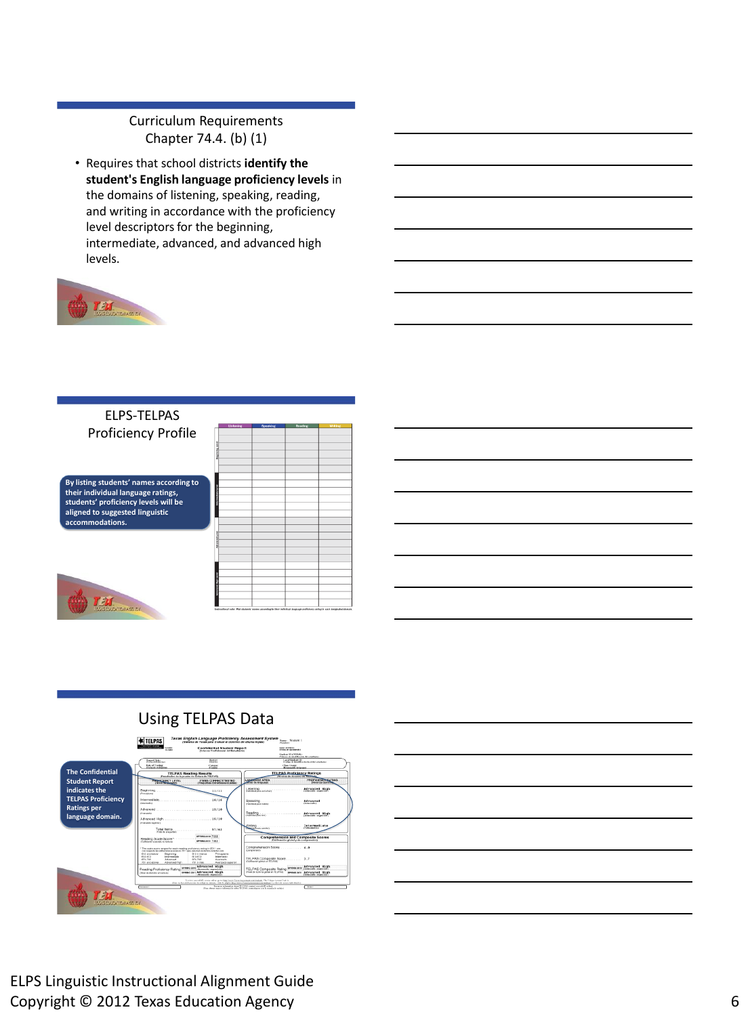## Curriculum Requirements Chapter 74.4. (b) (1)

• Requires that school districts **identify the student's English language proficiency levels** in the domains of listening, speaking, reading, and writing in accordance with the proficiency level descriptors for the beginning, intermediate, advanced, and advanced high levels.



### ELPS-TELPAS Proficiency Profile

**By listing students' names according to their individual language ratings, students' proficiency levels will be aligned to suggested linguistic accommodations.** 



|                            | Listening | Spoaking | Reading | Writing |
|----------------------------|-----------|----------|---------|---------|
|                            |           |          |         |         |
|                            |           |          |         |         |
|                            |           |          |         |         |
|                            |           |          |         |         |
| <b>Beginning</b> Lovel     |           |          |         |         |
|                            |           |          |         |         |
|                            |           |          |         |         |
|                            |           |          |         |         |
|                            |           |          |         |         |
|                            |           |          |         |         |
|                            |           |          |         |         |
| contract form form         |           |          |         |         |
|                            |           |          |         |         |
|                            |           |          |         |         |
|                            |           |          |         |         |
|                            |           |          |         |         |
|                            |           |          |         |         |
| Monwell Low!               |           |          |         |         |
|                            |           |          |         |         |
|                            |           |          |         |         |
|                            |           |          |         |         |
|                            |           |          |         |         |
|                            |           |          |         |         |
|                            |           |          |         |         |
|                            |           |          |         |         |
|                            |           |          |         |         |
| <b>Advanced High Level</b> |           |          |         |         |
|                            |           |          |         |         |
|                            |           |          |         |         |

# Using TELPAS Data



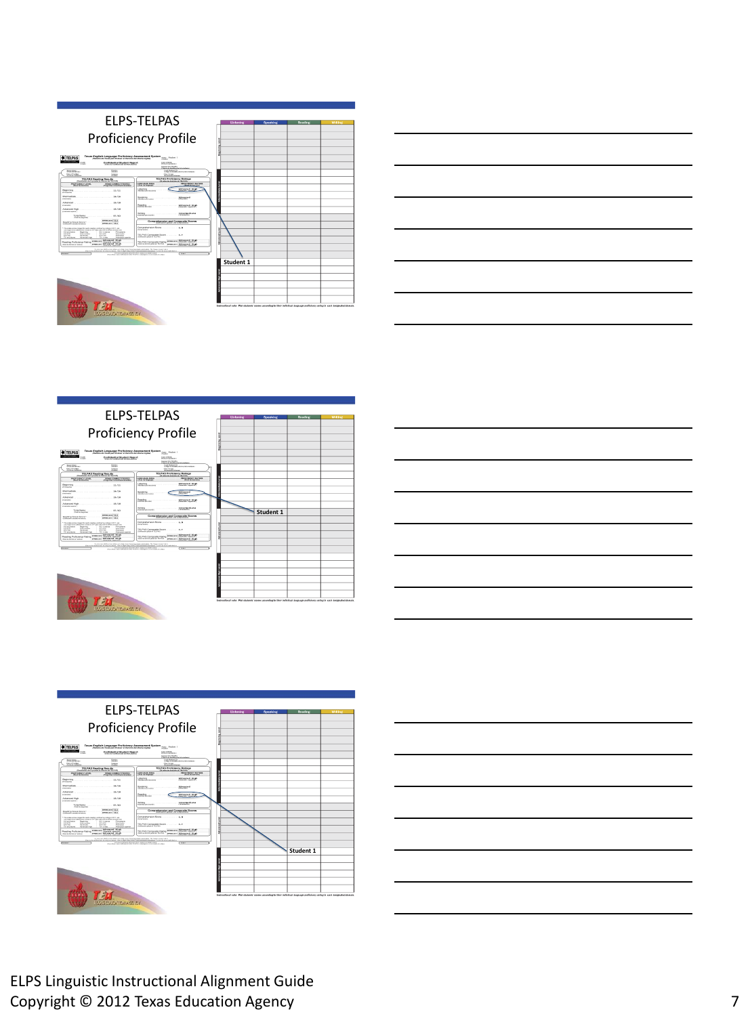

| Listening                    | Speaking          | Reading                                   | <b>writing</b> |
|------------------------------|-------------------|-------------------------------------------|----------------|
|                              |                   |                                           |                |
|                              |                   |                                           |                |
|                              |                   |                                           |                |
|                              |                   |                                           |                |
|                              |                   |                                           |                |
|                              |                   |                                           |                |
|                              |                   |                                           |                |
|                              |                   |                                           |                |
|                              |                   |                                           |                |
|                              |                   |                                           |                |
|                              |                   |                                           |                |
|                              |                   |                                           |                |
|                              |                   |                                           |                |
|                              |                   |                                           |                |
|                              |                   |                                           |                |
|                              |                   |                                           |                |
|                              |                   |                                           |                |
|                              |                   |                                           |                |
|                              |                   |                                           |                |
|                              |                   |                                           |                |
|                              |                   |                                           |                |
|                              |                   |                                           |                |
|                              |                   |                                           |                |
|                              |                   |                                           |                |
|                              |                   |                                           |                |
|                              |                   |                                           |                |
| Student 1                    |                   |                                           |                |
|                              |                   |                                           |                |
|                              |                   |                                           |                |
|                              |                   |                                           |                |
|                              |                   |                                           |                |
|                              |                   |                                           |                |
|                              |                   |                                           |                |
|                              |                   |                                           |                |
| diameter River conditions in | <b>CONTRACTOR</b> | the state of the state<br><b>DELLE BA</b> |                |





721

| <b>Deadle</b><br>$\sim$                                                                                                                                                                                                                                                         | <b>Confidential Student Booner</b><br>Calence Confidencial Joi Functionist                                                  |                                              | <b>Security</b><br>and the company of<br><b>CALL &amp; HALLMARK</b>                                                                                                                                                                                                           |
|---------------------------------------------------------------------------------------------------------------------------------------------------------------------------------------------------------------------------------------------------------------------------------|-----------------------------------------------------------------------------------------------------------------------------|----------------------------------------------|-------------------------------------------------------------------------------------------------------------------------------------------------------------------------------------------------------------------------------------------------------------------------------|
|                                                                                                                                                                                                                                                                                 |                                                                                                                             |                                              | Chinese of the Alberta Montanger                                                                                                                                                                                                                                              |
| State Links                                                                                                                                                                                                                                                                     | 11222<br><b>Section</b>                                                                                                     |                                              | $-1111111$<br>College & Marketing for the American College                                                                                                                                                                                                                    |
| <b>Search Traders</b>                                                                                                                                                                                                                                                           | <b>Contract</b><br>œ                                                                                                        |                                              | Check Country                                                                                                                                                                                                                                                                 |
|                                                                                                                                                                                                                                                                                 | TELPAS Reading Results<br>more painted on all concepts as a first to be late and to                                         |                                              | <b>TELENS Profitancy Balloca</b><br><b><i>CRASSA de distante da Vill-Pada</i></b>                                                                                                                                                                                             |
| <b>BUSINESS MARTIN A STARRA</b><br><b>Charlie Consider</b>                                                                                                                                                                                                                      | <b>FRANK CORRACTORATES</b><br><b>Distances are adjusted at adjust</b>                                                       | ANGEMENT APEA<br>Links by bronzes.           | <b>PERMIT SINCY BATING</b><br><b>Head do Bergens</b>                                                                                                                                                                                                                          |
| designation of                                                                                                                                                                                                                                                                  |                                                                                                                             | Listening<br><b>Contained all a province</b> | Advanced High-<br>increase constally                                                                                                                                                                                                                                          |
| http://www.com/com/com/com/com/com/com/24/24<br><b>Service Ave</b>                                                                                                                                                                                                              |                                                                                                                             | Speaking<br>Contractor of the American       | 14111111111<br><b>CONTRACTOR</b>                                                                                                                                                                                                                                              |
| <b>BASINE</b>                                                                                                                                                                                                                                                                   |                                                                                                                             | Bearing<br><b>CONTRACTOR</b>                 | Advanced \$1.000<br>domassic complete                                                                                                                                                                                                                                         |
| Advanced Mark Committee of the Committee of the Committee of the Committee of the Committee of the Committee of the Committee of the Committee of the Committee of the Committee of the Committee of the Committee of the Comm<br><b>Reading Associate</b><br>chase as expenses |                                                                                                                             | <b>HANNA MORE</b>                            | International                                                                                                                                                                                                                                                                 |
| <b>Magazines Scrate Service 1: 1111   1111   122</b><br>all-Mennedy a sensity for brokers.                                                                                                                                                                                      | <b>MARINA MEATORS</b><br>presented and their                                                                                |                                              | Comprehension and Composite Scores<br><b>CARTICATON ASSAULT AN INFORMATION</b>                                                                                                                                                                                                |
| The state stone money for each beating outliners which is 2011 are<br>The states are the collection of the collection of the collection of the state of the collection<br>And work business<br>Bergman                                                                          | <b>Brid &amp; Swing</b><br>Percenta                                                                                         | <b>Contractor</b>                            |                                                                                                                                                                                                                                                                               |
| 413.473<br><b>Low conclusion</b><br>111.222<br>Afunciad<br>This work stresses<br><b><i><u>International</u></i></b>                                                                                                                                                             | <b>ALCOHOL</b><br><b><i><u>Internation</u></i></b><br>$-100 - 100$<br>Euterante<br>This product<br><b>Company's company</b> | Continued and an Only Early                  |                                                                                                                                                                                                                                                                               |
| Reading Proficiency Rating                                                                                                                                                                                                                                                      | men on Afranced High<br>changed presented                                                                                   | TEL EAG Composite Satire                     | Advanced \$5.00<br><b>ARRAIG MORE</b><br><b>Show a site of the contract of the contract of the contract of the contract of the contract of the contract of the contract of the contract of the contract of the contract of the contract of the contract of the contract o</b> |
| Abut to the bit an actual                                                                                                                                                                                                                                                       | money and Advanced High-                                                                                                    | the state models when an U. Sales            | Advanced First<br><b>BERNAD MOR</b><br><b>CONTROL 12-200</b>                                                                                                                                                                                                                  |

|                        | Listoning | Spoaking  | Reading                                                                                                                      | writing |
|------------------------|-----------|-----------|------------------------------------------------------------------------------------------------------------------------------|---------|
|                        |           |           |                                                                                                                              |         |
|                        |           |           |                                                                                                                              |         |
|                        |           |           |                                                                                                                              |         |
| <b>Beginning</b> Lovel |           |           |                                                                                                                              |         |
|                        |           |           |                                                                                                                              |         |
|                        |           |           |                                                                                                                              |         |
|                        |           |           |                                                                                                                              |         |
|                        |           |           |                                                                                                                              |         |
|                        |           |           |                                                                                                                              |         |
|                        |           |           |                                                                                                                              |         |
| Information Level      |           |           |                                                                                                                              |         |
|                        |           |           |                                                                                                                              |         |
|                        |           |           |                                                                                                                              |         |
|                        |           |           |                                                                                                                              |         |
|                        |           |           |                                                                                                                              |         |
|                        |           |           |                                                                                                                              |         |
|                        |           | Student 1 |                                                                                                                              |         |
|                        |           |           |                                                                                                                              |         |
| Advanced Lovel         |           |           |                                                                                                                              |         |
|                        |           |           |                                                                                                                              |         |
|                        |           |           |                                                                                                                              |         |
|                        |           |           |                                                                                                                              |         |
|                        |           |           |                                                                                                                              |         |
|                        |           |           |                                                                                                                              |         |
|                        |           |           |                                                                                                                              |         |
| <b>Manual High Low</b> |           |           |                                                                                                                              |         |
|                        |           |           |                                                                                                                              |         |
|                        |           |           |                                                                                                                              |         |
|                        |           |           |                                                                                                                              |         |
|                        |           |           |                                                                                                                              |         |
|                        |           |           |                                                                                                                              |         |
|                        |           |           | Instructional eater Phot students' eames according to their includinal language profisioncy rating in each designated dumain |         |

| TEAS EDUCATION ASSIST |
|-----------------------|
|                       |





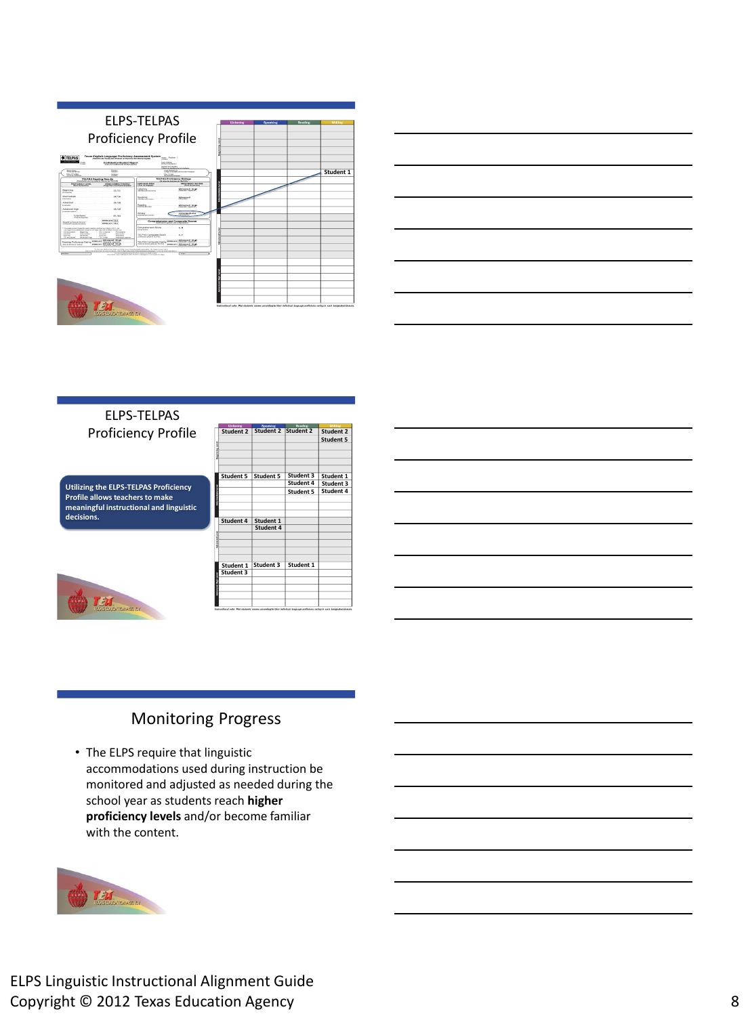



ELPS-TELPAS Proficiency Profile

**Utilizing the ELPS-TELPAS Proficiency Profile allows teachers to make meaningful instructional and linguistic decisions.** 



| <b>Listening</b> | Spoaking  | Reading              |                  |
|------------------|-----------|----------------------|------------------|
| Student 2        | Student 2 | Student <sub>2</sub> | <b>Student 2</b> |
|                  |           |                      | <b>Student 5</b> |
|                  |           |                      |                  |
|                  |           |                      |                  |
|                  |           |                      |                  |
|                  |           |                      |                  |
| <b>Student 5</b> | Student 5 | Student 3            | Student 1        |
|                  |           | Student 4            | Student 3        |
|                  |           | <b>Student 5</b>     | Student 4        |
|                  |           |                      |                  |
|                  |           |                      |                  |
|                  |           |                      |                  |
| Student 4        | Student 1 |                      |                  |
|                  | Student 4 |                      |                  |
|                  |           |                      |                  |
|                  |           |                      |                  |
|                  |           |                      |                  |
|                  |           |                      |                  |
|                  |           |                      |                  |
| Student 1        | Student 3 | Student 1            |                  |
| Student 3        |           |                      |                  |
|                  |           |                      |                  |
|                  |           |                      |                  |
|                  |           |                      |                  |
|                  |           |                      |                  |

## Monitoring Progress

• The ELPS require that linguistic accommodations used during instruction be monitored and adjusted as needed during the school year as students reach **higher proficiency levels** and/or become familiar with the content.